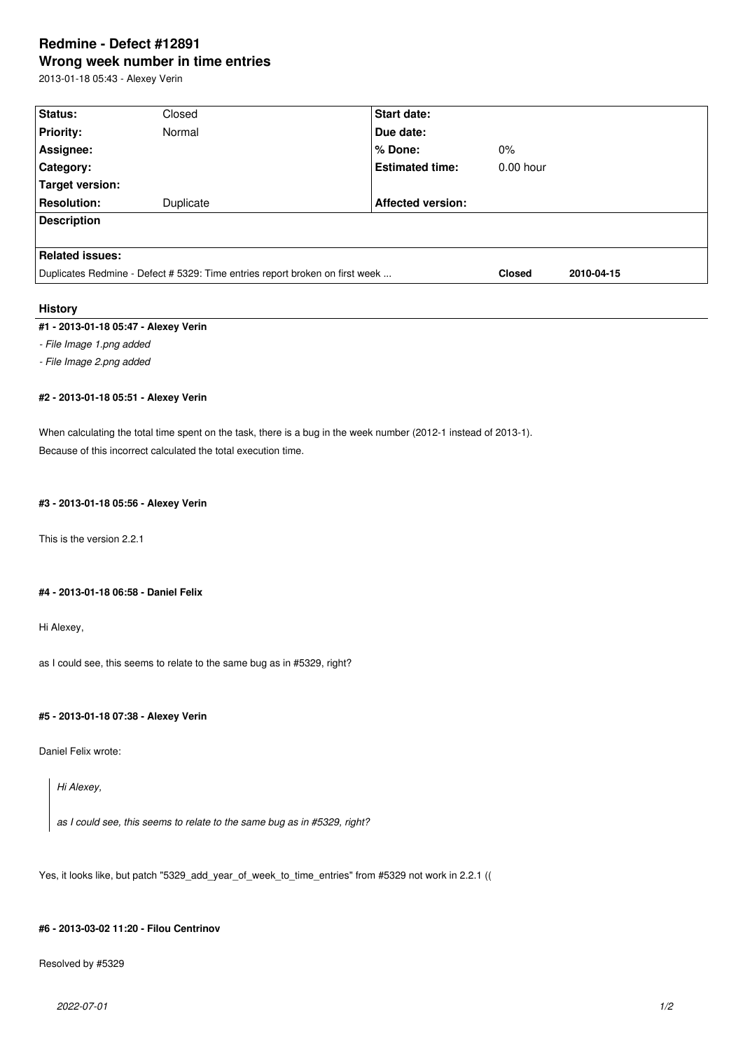# **Redmine - Defect #12891 Wrong week number in time entries**

2013-01-18 05:43 - Alexey Verin

| Status:                                                                      | Closed    | <b>Start date:</b>       |             |  |
|------------------------------------------------------------------------------|-----------|--------------------------|-------------|--|
| <b>Priority:</b>                                                             | Normal    | Due date:                |             |  |
| Assignee:                                                                    |           | % Done:                  | $0\%$       |  |
| <b>Category:</b>                                                             |           | <b>Estimated time:</b>   | $0.00$ hour |  |
| Target version:                                                              |           |                          |             |  |
| <b>Resolution:</b>                                                           | Duplicate | <b>Affected version:</b> |             |  |
| <b>Description</b>                                                           |           |                          |             |  |
|                                                                              |           |                          |             |  |
| <b>Related issues:</b>                                                       |           |                          |             |  |
| Duplicates Redmine - Defect # 5329: Time entries report broken on first week |           | <b>Closed</b>            | 2010-04-15  |  |

# **History**

# **#1 - 2013-01-18 05:47 - Alexey Verin**

*- File Image 1.png added*

*- File Image 2.png added*

### **#2 - 2013-01-18 05:51 - Alexey Verin**

When calculating the total time spent on the task, there is a bug in the week number (2012-1 instead of 2013-1). Because of this incorrect calculated the total execution time.

### **#3 - 2013-01-18 05:56 - Alexey Verin**

This is the version 2.2.1

### **#4 - 2013-01-18 06:58 - Daniel Felix**

Hi Alexey,

as I could see, this seems to relate to the same bug as in #5329, right?

# **#5 - 2013-01-18 07:38 - Alexey Verin**

Daniel Felix wrote:

*Hi Alexey,*

*as I could see, this seems to relate to the same bug as in #5329, right?*

Yes, it looks like, but patch "5329\_add\_year\_of\_week\_to\_time\_entries" from #5329 not work in 2.2.1 ((

### **#6 - 2013-03-02 11:20 - Filou Centrinov**

Resolved by #5329